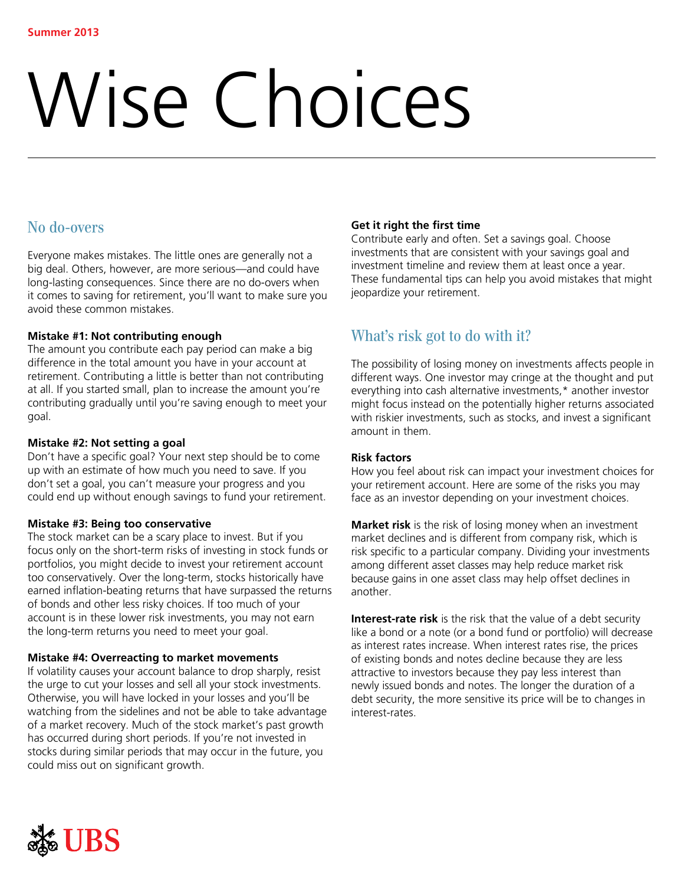# Wise Choices

## No do-overs

Everyone makes mistakes. The little ones are generally not a big deal. Others, however, are more serious—and could have long-lasting consequences. Since there are no do-overs when it comes to saving for retirement, you'll want to make sure you avoid these common mistakes.

## **Mistake #1: Not contributing enough**

The amount you contribute each pay period can make a big difference in the total amount you have in your account at retirement. Contributing a little is better than not contributing at all. If you started small, plan to increase the amount you're contributing gradually until you're saving enough to meet your goal.

## **Mistake #2: Not setting a goal**

Don't have a specific goal? Your next step should be to come up with an estimate of how much you need to save. If you don't set a goal, you can't measure your progress and you could end up without enough savings to fund your retirement.

## **Mistake #3: Being too conservative**

The stock market can be a scary place to invest. But if you focus only on the short-term risks of investing in stock funds or portfolios, you might decide to invest your retirement account too conservatively. Over the long-term, stocks historically have earned inflation-beating returns that have surpassed the returns of bonds and other less risky choices. If too much of your account is in these lower risk investments, you may not earn the long-term returns you need to meet your goal.

## **Mistake #4: Overreacting to market movements**

If volatility causes your account balance to drop sharply, resist the urge to cut your losses and sell all your stock investments. Otherwise, you will have locked in your losses and you'll be watching from the sidelines and not be able to take advantage of a market recovery. Much of the stock market's past growth has occurred during short periods. If you're not invested in stocks during similar periods that may occur in the future, you could miss out on significant growth.

## **Get it right the first time**

Contribute early and often. Set a savings goal. Choose investments that are consistent with your savings goal and investment timeline and review them at least once a year. These fundamental tips can help you avoid mistakes that might jeopardize your retirement.

# What's risk got to do with it?

The possibility of losing money on investments affects people in different ways. One investor may cringe at the thought and put everything into cash alternative investments,\* another investor might focus instead on the potentially higher returns associated with riskier investments, such as stocks, and invest a significant amount in them.

## **Risk factors**

How you feel about risk can impact your investment choices for your retirement account. Here are some of the risks you may face as an investor depending on your investment choices.

**Market risk** is the risk of losing money when an investment market declines and is different from company risk, which is risk specific to a particular company. Dividing your investments among different asset classes may help reduce market risk because gains in one asset class may help offset declines in another.

**Interest-rate risk** is the risk that the value of a debt security like a bond or a note (or a bond fund or portfolio) will decrease as interest rates increase. When interest rates rise, the prices of existing bonds and notes decline because they are less attractive to investors because they pay less interest than newly issued bonds and notes. The longer the duration of a debt security, the more sensitive its price will be to changes in interest-rates.